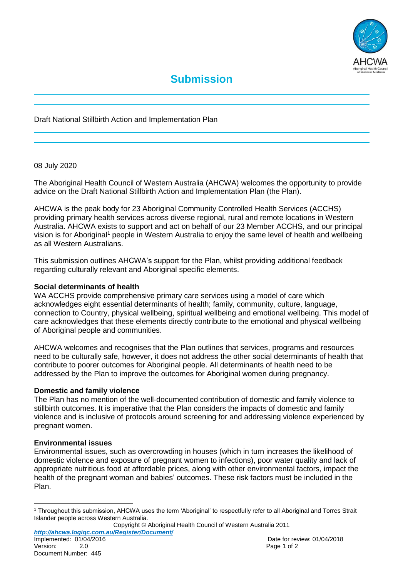

Draft National Stillbirth Action and Implementation Plan

08 July 2020

The Aboriginal Health Council of Western Australia (AHCWA) welcomes the opportunity to provide advice on the Draft National Stillbirth Action and Implementation Plan (the Plan).

AHCWA is the peak body for 23 Aboriginal Community Controlled Health Services (ACCHS) providing primary health services across diverse regional, rural and remote locations in Western Australia. AHCWA exists to support and act on behalf of our 23 Member ACCHS, and our principal vision is for Aboriginal<sup>1</sup> people in Western Australia to enjoy the same level of health and wellbeing as all Western Australians.

This submission outlines AHCWA's support for the Plan, whilst providing additional feedback regarding culturally relevant and Aboriginal specific elements.

# **Social determinants of health**

WA ACCHS provide comprehensive primary care services using a model of care which acknowledges eight essential determinants of health; family, community, culture, language, connection to Country, physical wellbeing, spiritual wellbeing and emotional wellbeing. This model of care acknowledges that these elements directly contribute to the emotional and physical wellbeing of Aboriginal people and communities.

AHCWA welcomes and recognises that the Plan outlines that services, programs and resources need to be culturally safe, however, it does not address the other social determinants of health that contribute to poorer outcomes for Aboriginal people. All determinants of health need to be addressed by the Plan to improve the outcomes for Aboriginal women during pregnancy.

# **Domestic and family violence**

The Plan has no mention of the well-documented contribution of domestic and family violence to stillbirth outcomes. It is imperative that the Plan considers the impacts of domestic and family violence and is inclusive of protocols around screening for and addressing violence experienced by pregnant women.

# **Environmental issues**

Environmental issues, such as overcrowding in houses (which in turn increases the likelihood of domestic violence and exposure of pregnant women to infections), poor water quality and lack of appropriate nutritious food at affordable prices, along with other environmental factors, impact the health of the pregnant woman and babies' outcomes. These risk factors must be included in the Plan.

Copyright © Aboriginal Health Council of Western Australia 2011 *http://ahcwa.logiqc.com.au/Register/Document/* Implemented: 01/04/2016 **Date for review: 01/04/2018** Date for review: 01/04/2018

 $\overline{a}$ 

<sup>1</sup> Throughout this submission, AHCWA uses the term 'Aboriginal' to respectfully refer to all Aboriginal and Torres Strait Islander people across Western Australia.